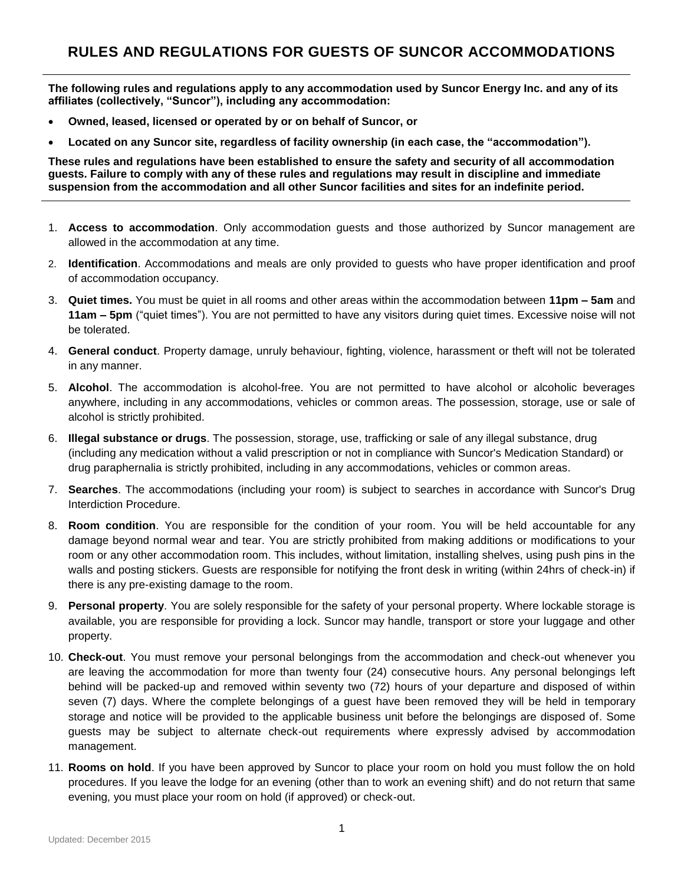**The following rules and regulations apply to any accommodation used by Suncor Energy Inc. and any of its affiliates (collectively, "Suncor"), including any accommodation:** 

- **Owned, leased, licensed or operated by or on behalf of Suncor, or**
- **Located on any Suncor site, regardless of facility ownership (in each case, the "accommodation").**

**These rules and regulations have been established to ensure the safety and security of all accommodation guests. Failure to comply with any of these rules and regulations may result in discipline and immediate suspension from the accommodation and all other Suncor facilities and sites for an indefinite period.**

- 1. **Access to accommodation**. Only accommodation guests and those authorized by Suncor management are allowed in the accommodation at any time.
- 2. **Identification**. Accommodations and meals are only provided to guests who have proper identification and proof of accommodation occupancy.
- 3. **Quiet times.** You must be quiet in all rooms and other areas within the accommodation between **11pm – 5am** and **11am – 5pm** ("quiet times"). You are not permitted to have any visitors during quiet times. Excessive noise will not be tolerated.
- 4. **General conduct**. Property damage, unruly behaviour, fighting, violence, harassment or theft will not be tolerated in any manner.
- 5. **Alcohol**. The accommodation is alcohol-free. You are not permitted to have alcohol or alcoholic beverages anywhere, including in any accommodations, vehicles or common areas. The possession, storage, use or sale of alcohol is strictly prohibited.
- 6. **Illegal substance or drugs**. The possession, storage, use, trafficking or sale of any illegal substance, drug (including any medication without a valid prescription or not in compliance with Suncor's Medication Standard) or drug paraphernalia is strictly prohibited, including in any accommodations, vehicles or common areas.
- 7. **Searches**. The accommodations (including your room) is subject to searches in accordance with Suncor's Drug Interdiction Procedure.
- 8. **Room condition**. You are responsible for the condition of your room. You will be held accountable for any damage beyond normal wear and tear. You are strictly prohibited from making additions or modifications to your room or any other accommodation room. This includes, without limitation, installing shelves, using push pins in the walls and posting stickers. Guests are responsible for notifying the front desk in writing (within 24hrs of check-in) if there is any pre-existing damage to the room.
- 9. **Personal property**. You are solely responsible for the safety of your personal property. Where lockable storage is available, you are responsible for providing a lock. Suncor may handle, transport or store your luggage and other property.
- 10. **Check-out**. You must remove your personal belongings from the accommodation and check-out whenever you are leaving the accommodation for more than twenty four (24) consecutive hours. Any personal belongings left behind will be packed-up and removed within seventy two (72) hours of your departure and disposed of within seven (7) days. Where the complete belongings of a guest have been removed they will be held in temporary storage and notice will be provided to the applicable business unit before the belongings are disposed of. Some guests may be subject to alternate check-out requirements where expressly advised by accommodation management.
- 11. **Rooms on hold**. If you have been approved by Suncor to place your room on hold you must follow the on hold procedures. If you leave the lodge for an evening (other than to work an evening shift) and do not return that same evening, you must place your room on hold (if approved) or check-out.